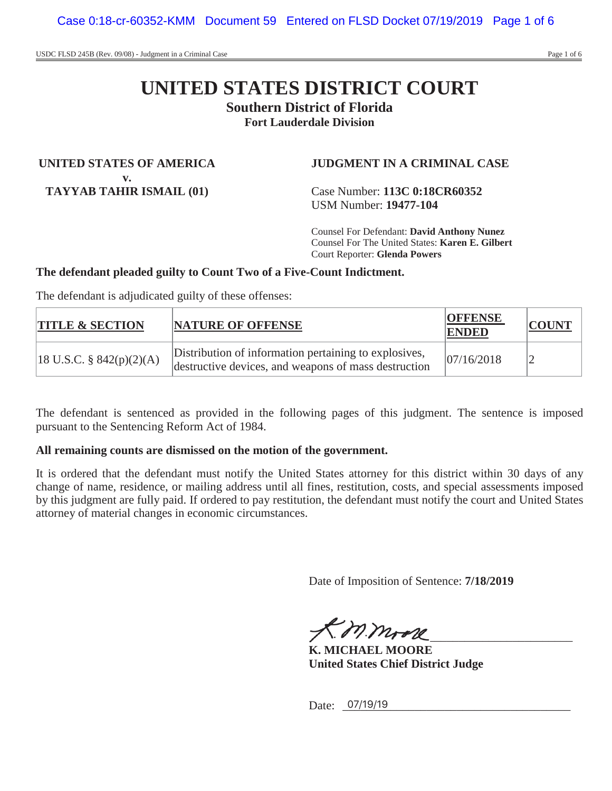# **UNITED STATES DISTRICT COURT**

**Southern District of Florida**

**Fort Lauderdale Division**

**UNITED STATES OF AMERICA v. TAYYAB TAHIR ISMAIL (01)**

**JUDGMENT IN A CRIMINAL CASE**

Case Number: **113C 0:18CR60352** USM Number: **19477-104**

Counsel For Defendant: **David Anthony Nunez** Counsel For The United States: **Karen E. Gilbert** Court Reporter: **Glenda Powers**

# **The defendant pleaded guilty to Count Two of a Five-Count Indictment.**

The defendant is adjudicated guilty of these offenses:

| <b>TITLE &amp; SECTION</b>             | <b>NATURE OF OFFENSE</b>                                                                                      | <b>OFFENSE</b><br>ENDED | <b>COUNT</b> |
|----------------------------------------|---------------------------------------------------------------------------------------------------------------|-------------------------|--------------|
| $ 18 \text{ U.S.C. } \S 842(p)(2)(A) $ | Distribution of information pertaining to explosives,<br>destructive devices, and weapons of mass destruction | 07/16/2018              |              |

The defendant is sentenced as provided in the following pages of this judgment. The sentence is imposed pursuant to the Sentencing Reform Act of 1984.

# **All remaining counts are dismissed on the motion of the government.**

It is ordered that the defendant must notify the United States attorney for this district within 30 days of any change of name, residence, or mailing address until all fines, restitution, costs, and special assessments imposed by this judgment are fully paid. If ordered to pay restitution, the defendant must notify the court and United States attorney of material changes in economic circumstances.

Date of Imposition of Sentence: **7/18/2019**

 $71.0111772$ 

**K. MICHAEL MOORE United States Chief District Judge**

Date: <u>07/19/19</u>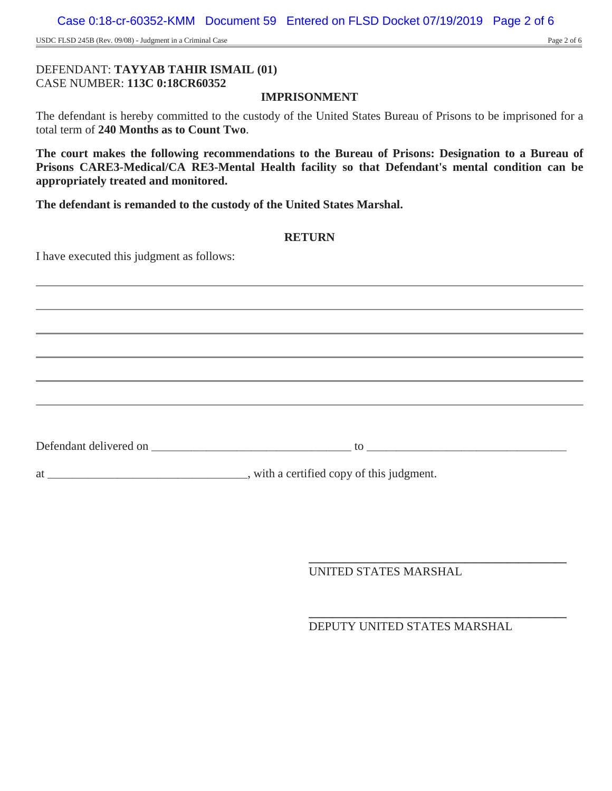USDC FLSD 245B (Rev. 09/08) - Judgment in a Criminal Case Page 2 of 6

## DEFENDANT: **TAYYAB TAHIR ISMAIL (01)** CASE NUMBER: **113C 0:18CR60352**

## **IMPRISONMENT**

The defendant is hereby committed to the custody of the United States Bureau of Prisons to be imprisoned for a total term of **240 Months as to Count Two**.

**The court makes the following recommendations to the Bureau of Prisons: Designation to a Bureau of Prisons CARE3-Medical/CA RE3-Mental Health facility so that Defendant's mental condition can be appropriately treated and monitored.**

**The defendant is remanded to the custody of the United States Marshal.**

#### **RETURN**

I have executed this judgment as follows:

Defendant delivered on \_\_\_\_\_\_\_\_\_\_\_\_\_\_\_\_\_\_\_\_\_\_\_\_\_\_\_\_\_\_\_\_\_\_\_\_\_\_\_\_ to \_\_\_\_\_\_\_\_\_\_\_\_\_\_\_\_\_\_\_\_\_\_\_\_\_\_\_\_\_\_\_\_\_\_\_\_\_\_\_\_

at \_\_\_\_\_\_\_\_\_\_\_\_\_\_\_\_\_\_\_\_\_\_\_\_\_\_\_\_\_\_\_\_\_\_\_\_\_\_\_\_, with a certified copy of this judgment.

UNITED STATES MARSHAL

**\_\_\_\_\_\_\_\_\_\_\_\_\_\_\_\_\_\_\_\_\_\_\_\_\_\_\_\_\_\_\_\_\_\_\_\_\_\_\_\_\_\_\_** DEPUTY UNITED STATES MARSHAL

**\_\_\_\_\_\_\_\_\_\_\_\_\_\_\_\_\_\_\_\_\_\_\_\_\_\_\_\_\_\_\_\_\_\_\_\_\_\_\_\_\_\_\_**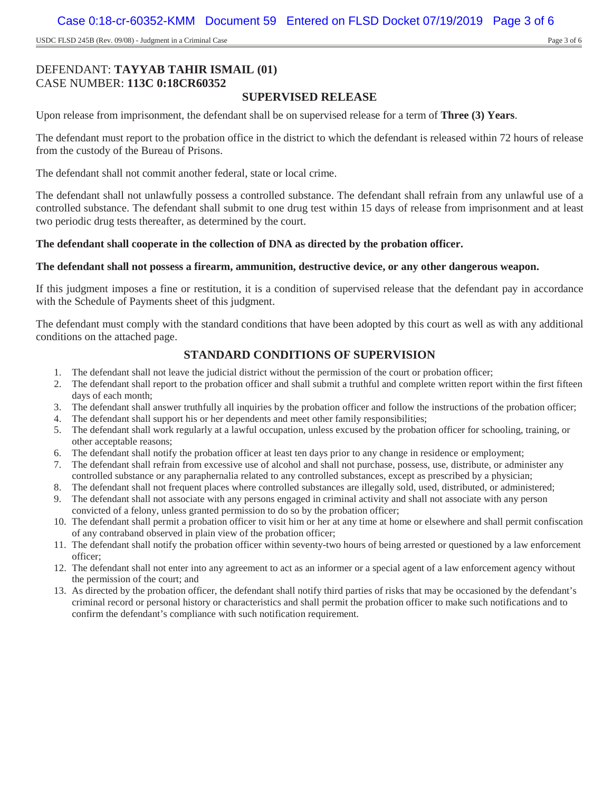USDC FLSD 245B (Rev. 09/08) - Judgment in a Criminal Case Page 3 of 6

# DEFENDANT: **TAYYAB TAHIR ISMAIL (01)** CASE NUMBER: **113C 0:18CR60352**

## **SUPERVISED RELEASE**

Upon release from imprisonment, the defendant shall be on supervised release for a term of **Three (3) Years**.

The defendant must report to the probation office in the district to which the defendant is released within 72 hours of release from the custody of the Bureau of Prisons.

The defendant shall not commit another federal, state or local crime.

The defendant shall not unlawfully possess a controlled substance. The defendant shall refrain from any unlawful use of a controlled substance. The defendant shall submit to one drug test within 15 days of release from imprisonment and at least two periodic drug tests thereafter, as determined by the court.

#### **The defendant shall cooperate in the collection of DNA as directed by the probation officer.**

#### **The defendant shall not possess a firearm, ammunition, destructive device, or any other dangerous weapon.**

If this judgment imposes a fine or restitution, it is a condition of supervised release that the defendant pay in accordance with the Schedule of Payments sheet of this judgment.

The defendant must comply with the standard conditions that have been adopted by this court as well as with any additional conditions on the attached page.

### **STANDARD CONDITIONS OF SUPERVISION**

- 1. The defendant shall not leave the judicial district without the permission of the court or probation officer;
- 2. The defendant shall report to the probation officer and shall submit a truthful and complete written report within the first fifteen days of each month;
- 3. The defendant shall answer truthfully all inquiries by the probation officer and follow the instructions of the probation officer;
- 4. The defendant shall support his or her dependents and meet other family responsibilities;
- 5. The defendant shall work regularly at a lawful occupation, unless excused by the probation officer for schooling, training, or other acceptable reasons;
- 6. The defendant shall notify the probation officer at least ten days prior to any change in residence or employment;
- 7. The defendant shall refrain from excessive use of alcohol and shall not purchase, possess, use, distribute, or administer any controlled substance or any paraphernalia related to any controlled substances, except as prescribed by a physician;
- 8. The defendant shall not frequent places where controlled substances are illegally sold, used, distributed, or administered;
- 9. The defendant shall not associate with any persons engaged in criminal activity and shall not associate with any person convicted of a felony, unless granted permission to do so by the probation officer;
- 10. The defendant shall permit a probation officer to visit him or her at any time at home or elsewhere and shall permit confiscation of any contraband observed in plain view of the probation officer;
- 11. The defendant shall notify the probation officer within seventy-two hours of being arrested or questioned by a law enforcement officer;
- 12. The defendant shall not enter into any agreement to act as an informer or a special agent of a law enforcement agency without the permission of the court; and
- 13. As directed by the probation officer, the defendant shall notify third parties of risks that may be occasioned by the defendant's criminal record or personal history or characteristics and shall permit the probation officer to make such notifications and to confirm the defendant's compliance with such notification requirement.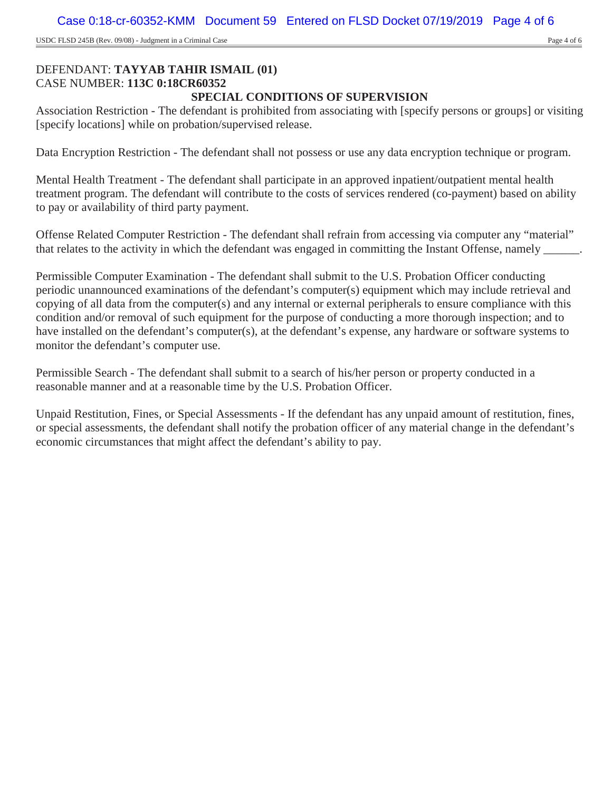USDC FLSD 245B (Rev. 09/08) - Judgment in a Criminal Case Page 4 of 6

#### DEFENDANT: **TAYYAB TAHIR ISMAIL (01)** CASE NUMBER: **113C 0:18CR60352 SPECIAL CONDITIONS OF SUPERVISION**

Association Restriction - The defendant is prohibited from associating with [specify persons or groups] or visiting [specify locations] while on probation/supervised release.

Data Encryption Restriction - The defendant shall not possess or use any data encryption technique or program.

Mental Health Treatment - The defendant shall participate in an approved inpatient/outpatient mental health treatment program. The defendant will contribute to the costs of services rendered (co-payment) based on ability to pay or availability of third party payment.

Offense Related Computer Restriction - The defendant shall refrain from accessing via computer any "material" that relates to the activity in which the defendant was engaged in committing the Instant Offense, namely  $\blacksquare$ .

Permissible Computer Examination - The defendant shall submit to the U.S. Probation Officer conducting periodic unannounced examinations of the defendant's computer(s) equipment which may include retrieval and copying of all data from the computer(s) and any internal or external peripherals to ensure compliance with this condition and/or removal of such equipment for the purpose of conducting a more thorough inspection; and to have installed on the defendant's computer(s), at the defendant's expense, any hardware or software systems to monitor the defendant's computer use.

Permissible Search - The defendant shall submit to a search of his/her person or property conducted in a reasonable manner and at a reasonable time by the U.S. Probation Officer.

Unpaid Restitution, Fines, or Special Assessments - If the defendant has any unpaid amount of restitution, fines, or special assessments, the defendant shall notify the probation officer of any material change in the defendant's economic circumstances that might affect the defendant's ability to pay.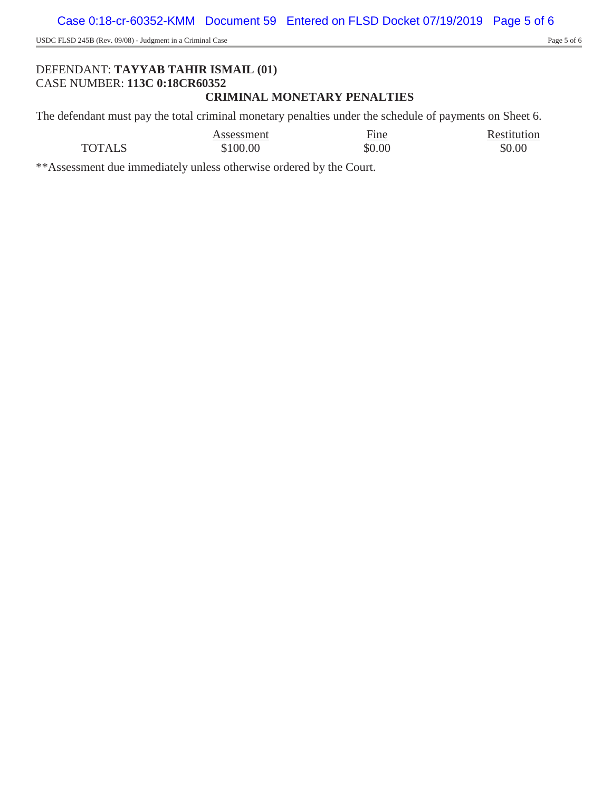USDC FLSD 245B (Rev. 09/08) - Judgment in a Criminal Case Page 5 of 6

## DEFENDANT: **TAYYAB TAHIR ISMAIL (01)** CASE NUMBER: **113C 0:18CR60352 CRIMINAL MONETARY PENALTIES**

The defendant must pay the total criminal monetary penalties under the schedule of payments on Sheet 6.

|               | Assessment | Fine   | Restitution |
|---------------|------------|--------|-------------|
| <b>TOTALS</b> | \$100.00   | \$0.00 | \$0.00      |

\*\*Assessment due immediately unless otherwise ordered by the Court.